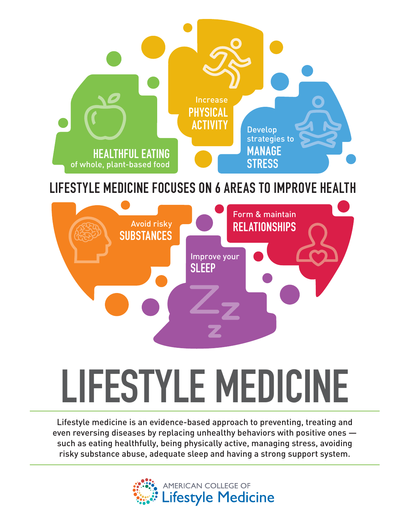

## **LIFESTYLE MEDICINE FOCUSES ON 6 AREAS TO IMPROVE HEALTH**



# **LIFESTYLE MEDICINE**

Lifestyle medicine is an evidence-based approach to preventing, treating and even reversing diseases by replacing unhealthy behaviors with positive ones such as eating healthfully, being physically active, managing stress, avoiding risky substance abuse, adequate sleep and having a strong support system.